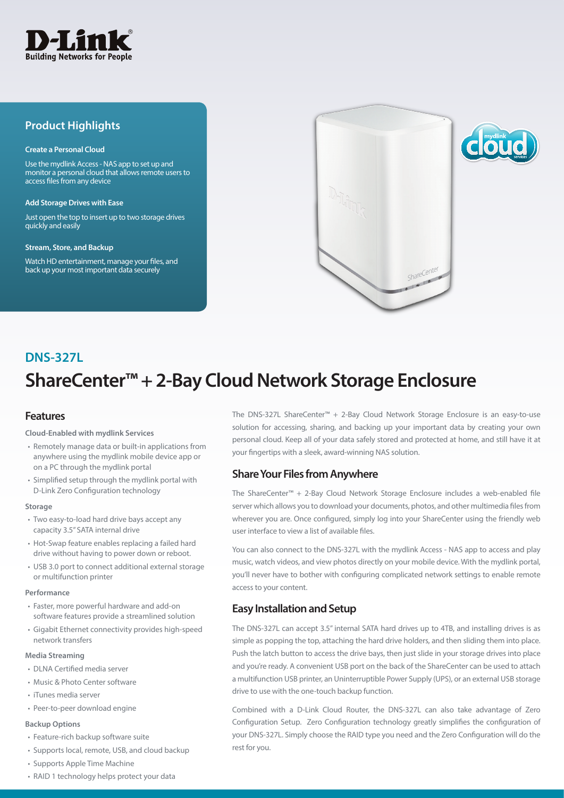

## **Product Highlights**

#### **Create a Personal Cloud**

Use the mydlink Access - NAS app to set up and monitor a personal cloud that allows remote users to access files from any device

#### **Add Storage Drives with Ease**

Just open the top to insert up to two storage drives quickly and easily

#### **Stream, Store, and Backup**

Watch HD entertainment, manage your files, and back up your most important data securely



# **ShareCenter™ + 2-Bay Cloud Network Storage Enclosure DNS-327L**

## **Features**

#### **Cloud-Enabled with mydlink Services**

- Remotely manage data or built-in applications from anywhere using the mydlink mobile device app or on a PC through the mydlink portal
- • Simplified setup through the mydlink portal with D-Link Zero Configuration technology

#### **Storage**

- Two easy-to-load hard drive bays accept any capacity 3.5" SATA internal drive
- Hot-Swap feature enables replacing a failed hard drive without having to power down or reboot.
- USB 3.0 port to connect additional external storage or multifunction printer

#### **Performance**

- Faster, more powerful hardware and add-on software features provide a streamlined solution
- • Gigabit Ethernet connectivity provides high-speed network transfers

#### **Media Streaming**

- DLNA Certified media server
- • Music & Photo Center software
- • iTunes media server
- Peer-to-peer download engine

#### **Backup Options**

- Feature-rich backup software suite
- Supports local, remote, USB, and cloud backup
- Supports Apple Time Machine
- RAID 1 technology helps protect your data

The DNS-327L ShareCenter™ + 2-Bay Cloud Network Storage Enclosure is an easy-to-use solution for accessing, sharing, and backing up your important data by creating your own personal cloud. Keep all of your data safely stored and protected at home, and still have it at your fingertips with a sleek, award-winning NAS solution.

### **Share Your Files from Anywhere**

The ShareCenter™ + 2-Bay Cloud Network Storage Enclosure includes a web-enabled file server which allows you to download your documents, photos, and other multimedia files from wherever you are. Once configured, simply log into your ShareCenter using the friendly web user interface to view a list of available files.

You can also connect to the DNS-327L with the mydlink Access - NAS app to access and play music, watch videos, and view photos directly on your mobile device. With the mydlink portal, you'll never have to bother with configuring complicated network settings to enable remote access to your content.

## **Easy Installation and Setup**

The DNS-327L can accept 3.5" internal SATA hard drives up to 4TB, and installing drives is as simple as popping the top, attaching the hard drive holders, and then sliding them into place. Push the latch button to access the drive bays, then just slide in your storage drives into place and you're ready. A convenient USB port on the back of the ShareCenter can be used to attach a multifunction USB printer, an Uninterruptible Power Supply (UPS), or an external USB storage drive to use with the one-touch backup function.

Combined with a D-Link Cloud Router, the DNS-327L can also take advantage of Zero Configuration Setup. Zero Configuration technology greatly simplifies the configuration of your DNS-327L. Simply choose the RAID type you need and the Zero Configuration will do the rest for you.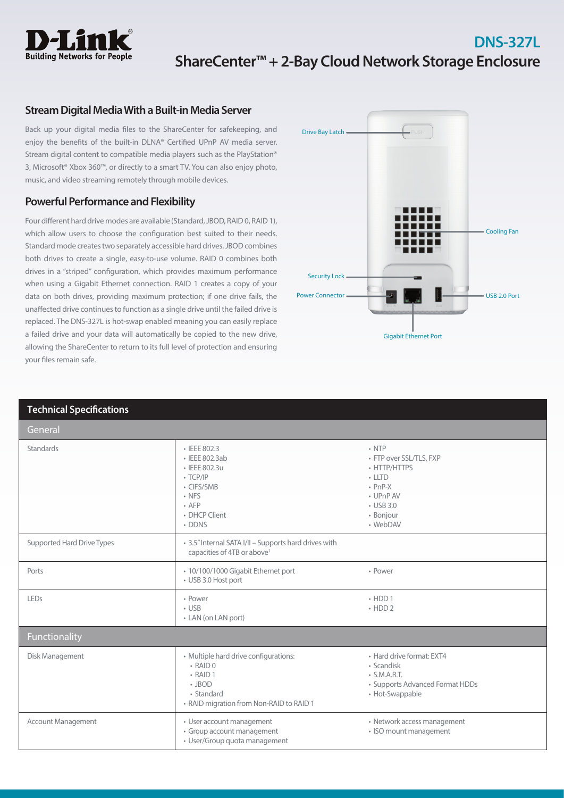

## **DNS-327L ShareCenter™ + 2-Bay Cloud Network Storage Enclosure**

## **Stream Digital Media With a Built-in Media Server**

Back up your digital media files to the ShareCenter for safekeeping, and enjoy the benefits of the built-in DLNA® Certified UPnP AV media server. Stream digital content to compatible media players such as the PlayStation® 3, Microsoft® Xbox 360™, or directly to a smart TV. You can also enjoy photo, music, and video streaming remotely through mobile devices.

## **Powerful Performance and Flexibility**

Four different hard drive modes are available (Standard, JBOD, RAID 0, RAID 1), which allow users to choose the configuration best suited to their needs. Standard mode creates two separately accessible hard drives. JBOD combines both drives to create a single, easy-to-use volume. RAID 0 combines both drives in a "striped" configuration, which provides maximum performance when using a Gigabit Ethernet connection. RAID 1 creates a copy of your data on both drives, providing maximum protection; if one drive fails, the unaffected drive continues to function as a single drive until the failed drive is replaced. The DNS-327L is hot-swap enabled meaning you can easily replace a failed drive and your data will automatically be copied to the new drive, allowing the ShareCenter to return to its full level of protection and ensuring your files remain safe.



| <b>Technical Specifications</b> |                                                                                                                                                     |                                                                                                                                            |  |
|---------------------------------|-----------------------------------------------------------------------------------------------------------------------------------------------------|--------------------------------------------------------------------------------------------------------------------------------------------|--|
| General                         |                                                                                                                                                     |                                                                                                                                            |  |
| <b>Standards</b>                | • IEEE 802.3<br>· IEEE 802.3ab<br>• IEEE 802.3u<br>$\cdot$ TCP/IP<br>• CIFS/SMB<br>$\cdot$ NFS<br>$\cdot$ AFP<br>• DHCP Client<br>• DDNS            | $\cdot$ NTP<br>• FTP over SSL/TLS, FXP<br>• HTTP/HTTPS<br>$\cdot$ LLTD<br>$\cdot$ PnP-X<br>• UPnP AV<br>• USB 3.0<br>· Bonjour<br>• WebDAV |  |
| Supported Hard Drive Types      | • 3.5" Internal SATA I/II - Supports hard drives with<br>capacities of 4TB or above <sup>1</sup>                                                    |                                                                                                                                            |  |
| Ports                           | · 10/100/1000 Gigabit Ethernet port<br>• USB 3.0 Host port                                                                                          | • Power                                                                                                                                    |  |
| LEDS                            | • Power<br>$\cdot$ USB<br>• LAN (on LAN port)                                                                                                       | $\cdot$ HDD 1<br>$\cdot$ HDD 2                                                                                                             |  |
| Functionality                   |                                                                                                                                                     |                                                                                                                                            |  |
| Disk Management                 | • Multiple hard drive configurations:<br>$\cdot$ RAID 0<br>$\cdot$ RAID 1<br>$\cdot$ JBOD<br>• Standard<br>• RAID migration from Non-RAID to RAID 1 | • Hard drive format: EXT4<br>• Scandisk<br>$\cdot$ S.M.A.R.T.<br>• Supports Advanced Format HDDs<br>• Hot-Swappable                        |  |
| <b>Account Management</b>       | • User account management<br>• Group account management<br>• User/Group quota management                                                            | • Network access management<br>· ISO mount management                                                                                      |  |